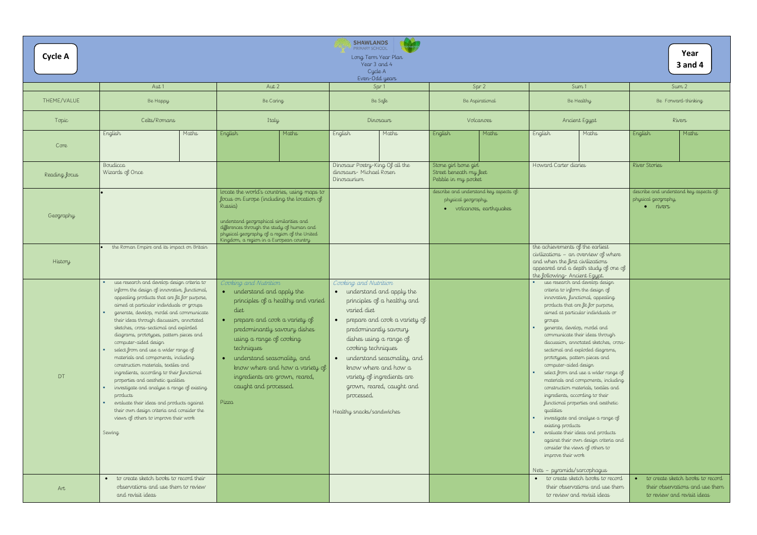| <b>Cycle A</b> |                                                                                                                                                                                                                                                                                                                                                                                                                                                                                                                                                                                                                                                                                                                                                                                                                      |                                                                                                                                                                                                                                                                                                                                                                 | <b>SHAWLANDS</b><br>PRIMARY SCHOOL<br>Long Term Year Plan<br>Year 3 and 4<br>Cycle A<br>Even-Odd years                                                                                                                                                                                                                                                                                              |                                                                                          |                                                                                                                                                                                                                                                                                                                                                                                                                                                                                                                                                                                                                                                                                                                                                                                                                                                           | Year<br><b>3 and 4</b>                                                            |
|----------------|----------------------------------------------------------------------------------------------------------------------------------------------------------------------------------------------------------------------------------------------------------------------------------------------------------------------------------------------------------------------------------------------------------------------------------------------------------------------------------------------------------------------------------------------------------------------------------------------------------------------------------------------------------------------------------------------------------------------------------------------------------------------------------------------------------------------|-----------------------------------------------------------------------------------------------------------------------------------------------------------------------------------------------------------------------------------------------------------------------------------------------------------------------------------------------------------------|-----------------------------------------------------------------------------------------------------------------------------------------------------------------------------------------------------------------------------------------------------------------------------------------------------------------------------------------------------------------------------------------------------|------------------------------------------------------------------------------------------|-----------------------------------------------------------------------------------------------------------------------------------------------------------------------------------------------------------------------------------------------------------------------------------------------------------------------------------------------------------------------------------------------------------------------------------------------------------------------------------------------------------------------------------------------------------------------------------------------------------------------------------------------------------------------------------------------------------------------------------------------------------------------------------------------------------------------------------------------------------|-----------------------------------------------------------------------------------|
|                | Aut 1                                                                                                                                                                                                                                                                                                                                                                                                                                                                                                                                                                                                                                                                                                                                                                                                                | Aut 2                                                                                                                                                                                                                                                                                                                                                           | Spr 1                                                                                                                                                                                                                                                                                                                                                                                               | Spr 2                                                                                    | Sum <sub>1</sub>                                                                                                                                                                                                                                                                                                                                                                                                                                                                                                                                                                                                                                                                                                                                                                                                                                          | Sum 2                                                                             |
| THEME/VALUE    | Be Happy                                                                                                                                                                                                                                                                                                                                                                                                                                                                                                                                                                                                                                                                                                                                                                                                             | Be Caring                                                                                                                                                                                                                                                                                                                                                       | Be Safe                                                                                                                                                                                                                                                                                                                                                                                             | Be Aspirational                                                                          | Be Healthy                                                                                                                                                                                                                                                                                                                                                                                                                                                                                                                                                                                                                                                                                                                                                                                                                                                | Be Forward-thinking                                                               |
| Topic          | Celts/Romans                                                                                                                                                                                                                                                                                                                                                                                                                                                                                                                                                                                                                                                                                                                                                                                                         | Italy                                                                                                                                                                                                                                                                                                                                                           | Dinosaurs                                                                                                                                                                                                                                                                                                                                                                                           | Volcanoes                                                                                | Ancient Egypt                                                                                                                                                                                                                                                                                                                                                                                                                                                                                                                                                                                                                                                                                                                                                                                                                                             | Rivers                                                                            |
| Core           | Maths<br>English                                                                                                                                                                                                                                                                                                                                                                                                                                                                                                                                                                                                                                                                                                                                                                                                     | Maths<br>English                                                                                                                                                                                                                                                                                                                                                | Maths<br>English                                                                                                                                                                                                                                                                                                                                                                                    | Maths<br>English                                                                         | English<br>Maths                                                                                                                                                                                                                                                                                                                                                                                                                                                                                                                                                                                                                                                                                                                                                                                                                                          | Maths<br>English                                                                  |
| Reading focus  | Boudicca<br>Wizards of Once                                                                                                                                                                                                                                                                                                                                                                                                                                                                                                                                                                                                                                                                                                                                                                                          |                                                                                                                                                                                                                                                                                                                                                                 | Dinosaur Poetry-King Of all the<br>dinosaurs- Michael Rosen<br>Dinosaurium                                                                                                                                                                                                                                                                                                                          | Stone girl bone girl<br>Street beneath my feet<br>Pebble in my pocket                    | Howard Carter diaries                                                                                                                                                                                                                                                                                                                                                                                                                                                                                                                                                                                                                                                                                                                                                                                                                                     | River Stories                                                                     |
| Geography      |                                                                                                                                                                                                                                                                                                                                                                                                                                                                                                                                                                                                                                                                                                                                                                                                                      | locate the world's countries, using maps to<br>focus on Europe (including the location of<br>Russia)<br>understand geographical similarities and<br>differences through the study of human and<br>physical geography of a region of the United<br>Kingdom, a region in a European country                                                                       |                                                                                                                                                                                                                                                                                                                                                                                                     | describe and understand key aspects of:<br>physical geography,<br>volcanoes, earthquakes |                                                                                                                                                                                                                                                                                                                                                                                                                                                                                                                                                                                                                                                                                                                                                                                                                                                           | describe and understand key asp<br>physical geography,<br>$\bullet$ rivers        |
| History        | the Roman Empire and its impact on Britain                                                                                                                                                                                                                                                                                                                                                                                                                                                                                                                                                                                                                                                                                                                                                                           |                                                                                                                                                                                                                                                                                                                                                                 |                                                                                                                                                                                                                                                                                                                                                                                                     |                                                                                          | the achievements of the earliest<br>civilizations - an overview of where<br>and when the first civilizations<br>appeared and a depth study of one of<br>the following- Ancient Egypt.                                                                                                                                                                                                                                                                                                                                                                                                                                                                                                                                                                                                                                                                     |                                                                                   |
| DT             | use research and develop design criteria to<br>inform the design of innovative, functional,<br>appealing products that are fit for purpose,<br>aimed at particular individuals or groups<br>generate, develop, model and communicate<br>their ideas through discussion, annotated<br>sketches, cross-sectional and exploded<br>diagrams, prototypes, pattern pieces and<br>computer-aided design<br>select from and use a wider range of<br>materials and components, including<br>construction materials, textiles and<br>ingredients, according to their functional<br>properties and aesthetic qualities<br>investigate and analyse a range of existing<br>products<br>evaluate their ideas and products against<br>their own design criteria and consider the<br>views of others to improve their work<br>Sewing | Cooking and Nutrition<br>• understand and apply the<br>principles of a healthy and varied<br>diet<br>prepare and cook a variety of<br>predominantly savoury dishes<br>using a range of cooking<br>techniques<br>understand seasonality, and<br>$\bullet$<br>know where and how a variety of<br>ingredients are grown, reared,<br>caught and processed.<br>Pizza | Cooking and Nutrition<br>• understand and apply the<br>principles of a healthy and<br>varied diet<br>prepare and cook a variety of<br>$\bullet$<br>predominantly savoury<br>dishes using a range of<br>cooking techniques<br>understand seasonality, and<br>$\bullet$<br>know where and how a<br>variety of ingredients are<br>grown, reared, caught and<br>processed.<br>Healthy snacks/sandwiches |                                                                                          | use research and develop design<br>criteria to inform the design of<br>innovative, functional, appealing<br>products that are fit for purpose,<br>aimed at particular individuals or<br>groups<br>generate, develop, model and<br>communicate their ideas through<br>discussion, annotated sketches, cross-<br>sectional and exploded diagrams,<br>prototypes, pattern pieces and<br>computer-aided design<br>select from and use a wider range of<br>materials and components, including<br>construction materials, textiles and<br>ingredients, according to their<br>functional properties and aesthetic<br>qualities<br>investigate and analyse a range of<br>existing products<br>evaluate their ideas and products<br>against their own design criteria and<br>consider the views of others to<br>improve their work<br>Nets - pyramids/sarcophagus |                                                                                   |
| Art            | • to create sketch books to record their<br>observations and use them to review<br>and revisit ideas                                                                                                                                                                                                                                                                                                                                                                                                                                                                                                                                                                                                                                                                                                                 |                                                                                                                                                                                                                                                                                                                                                                 |                                                                                                                                                                                                                                                                                                                                                                                                     |                                                                                          | · to create sketch books to record<br>their observations and use them<br>to review and revisit ideas                                                                                                                                                                                                                                                                                                                                                                                                                                                                                                                                                                                                                                                                                                                                                      | to create sketch books t<br>their observations and u<br>to review and revisit ide |

|                                                                                                                                                                                                            | Year<br><b>3 and 4</b>                                                                             |
|------------------------------------------------------------------------------------------------------------------------------------------------------------------------------------------------------------|----------------------------------------------------------------------------------------------------|
| Sum 1                                                                                                                                                                                                      | Sum 2                                                                                              |
| Be Healthy                                                                                                                                                                                                 | Be Forward-thinking                                                                                |
| Ancient Egypt                                                                                                                                                                                              | Rivers                                                                                             |
| Maths<br>English                                                                                                                                                                                           | English<br>Maths                                                                                   |
| Howard Carter diaries                                                                                                                                                                                      | River Stories                                                                                      |
|                                                                                                                                                                                                            | describe and understand key aspects of:<br>physical geography,<br>rivers                           |
| the achievements of the earliest<br>civilizations - an overview of where<br>and when the first civilizations<br>appeared and a depth study of one of<br>the following- Ancient Egypt.                      |                                                                                                    |
| use research and develop design<br>criteria to inform the design of<br>innovative, functional, appealing<br>products that are fit for purpose,<br>aimed at particular individuals or<br>groups             |                                                                                                    |
| generate, develop, model and<br>communicate their ideas through<br>discussion, annotated sketches, cross-<br>sectional and exploded diagrams,<br>prototypes, pattern pieces and<br>computer-aided design   |                                                                                                    |
| select from and use a wider range of<br>materials and components, including<br>construction materials, textiles and<br>ingredients, according to their<br>functional properties and aesthetic<br>qualities |                                                                                                    |
| investigate and analyse a range of<br>existing products<br>evaluate their ideas and products<br>against their own design criteria and<br>consider the views of others to                                   |                                                                                                    |
| improve their work                                                                                                                                                                                         |                                                                                                    |
| Nets – pyramids/sarcophagus<br>to create sketch books to record<br>their observations and use them<br>to review and revisit ideas                                                                          | to create sketch books to record<br>their observations and use them<br>to review and revisit ideas |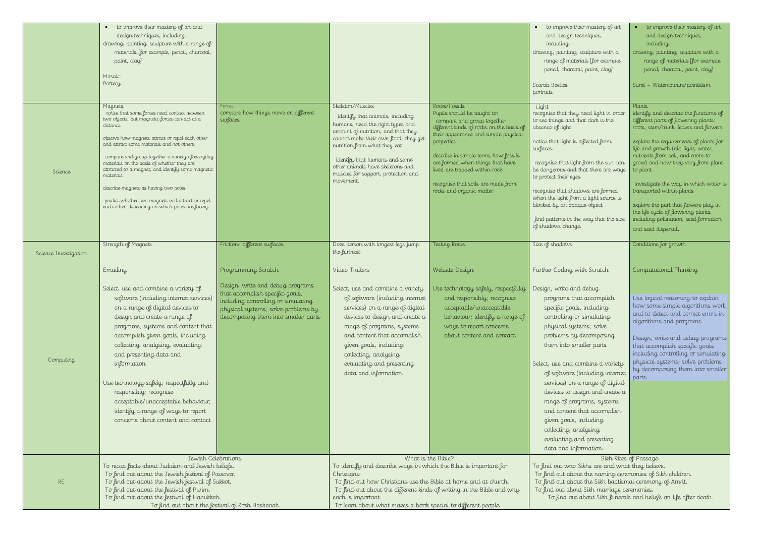| to improve their mastery of art<br>and design techniques,<br>including:                                                                                                                                                                                                                                                                                                                                                                                                      | to improve their mastery of art<br>and design techniques,<br>including:                                                                                                                                                                                                                                                              |
|------------------------------------------------------------------------------------------------------------------------------------------------------------------------------------------------------------------------------------------------------------------------------------------------------------------------------------------------------------------------------------------------------------------------------------------------------------------------------|--------------------------------------------------------------------------------------------------------------------------------------------------------------------------------------------------------------------------------------------------------------------------------------------------------------------------------------|
| drawing, painting, sculpture with a<br>range of materials [for example,<br>pencil, charcoal, paint, clay]                                                                                                                                                                                                                                                                                                                                                                    | drawing, painting, sculpture with a<br>range of materials [for example,<br>pencil, charcoal, paint, clay]                                                                                                                                                                                                                            |
| Scarab Beetles<br>portraits                                                                                                                                                                                                                                                                                                                                                                                                                                                  | Suret - Watercolours/pointilism                                                                                                                                                                                                                                                                                                      |
| Light<br>recognise that they need light in order<br>to see things and that dark is the<br>absence of light                                                                                                                                                                                                                                                                                                                                                                   | Plants<br>identify and describe the functions of<br>different parts of flowering plants:<br>roots, stem/trunk, leaves and flowers                                                                                                                                                                                                    |
| notice that light is reflected from<br>surfaces<br>recognise that light from the sun can<br>be dangerous and that there are ways<br>to protect their eyes                                                                                                                                                                                                                                                                                                                    | explore the requirements of plants for<br>life and growth (air, light, water,<br>nutrients from soil, and room to<br>grow) and how they vary from plant<br>to plant                                                                                                                                                                  |
| recognise that shadows are formed<br>when the light from a light source is<br>blocked by an opaque object<br>find patterns in the way that the size<br>of shadows change.                                                                                                                                                                                                                                                                                                    | investigate the way in which water is<br>transported within plants<br>explore the part that flowers play in<br>the life cycle of flowering plants,<br>including pollination, seed formation<br>and seed dispersal.                                                                                                                   |
| Size of shadows                                                                                                                                                                                                                                                                                                                                                                                                                                                              | Conditions for growth                                                                                                                                                                                                                                                                                                                |
|                                                                                                                                                                                                                                                                                                                                                                                                                                                                              |                                                                                                                                                                                                                                                                                                                                      |
| Further Coding with Scratch                                                                                                                                                                                                                                                                                                                                                                                                                                                  | Computational Thinking                                                                                                                                                                                                                                                                                                               |
| Design, write and debug<br>programs that accomplish<br>specific goals, including<br>controlling or simulating<br>physical systems; solve<br>problems by decomposing<br>them into smaller parts<br>of software (including internet<br>services) on a range of digital<br>devices to design and create a<br>range of programs, systems<br>and content that accomplish<br>given goals, including<br>collecting, analysing,<br>evaluating and presenting<br>data and information | Use logical reasoning to explain<br>how some simple algorithms work<br>and to detect and correct errors in<br>algorithms and programs<br>Design, write and debug programs<br>that accomplish specific goals,<br>including controlling or simulating<br>physical systems; solve problems<br>by decomposing them into smaller<br>parts |
| Select, use and combine a variety<br>To find out who Sikhs are and what they believe.                                                                                                                                                                                                                                                                                                                                                                                        | Sikh Rites of Passage                                                                                                                                                                                                                                                                                                                |
| To find out about the naming ceremonies of Sikh children.<br>To find out about the Sikh baptismal ceremony of Amrit.<br>To find out about Sikh marriage ceremonies.                                                                                                                                                                                                                                                                                                          |                                                                                                                                                                                                                                                                                                                                      |

|                       | to improve their mastery of art and<br>design techniques, including:<br>drawing, painting, sculpture with a range of<br>materials [for example, pencil, charcoal,<br>paint, clay<br>Mosaic<br>Pottery                                                                                                                                                                                                                                                                                                                                     |                                                                                                                                                                                                                 |                                                                                                                                                                                                                                                                                                                                   |                                                                                                                                                                                                                                                                                                                                                              | $\bullet$ to improve their mastery of art<br>and design techniques,<br>including:<br>drawing, painting, sculpture with a<br>range of materials [for example,<br>pencil, charcoal, paint, clay]<br>Scarab Beetles<br>portraits                                                                                                                                                                                                                                                                                                                    | to improve their<br>and design tech<br>including:<br>drawing, painting, sc<br>range of materia<br>pencil, charcoal,<br>Suret - Watercolours,                                                                                                                                                                                                                         |
|-----------------------|-------------------------------------------------------------------------------------------------------------------------------------------------------------------------------------------------------------------------------------------------------------------------------------------------------------------------------------------------------------------------------------------------------------------------------------------------------------------------------------------------------------------------------------------|-----------------------------------------------------------------------------------------------------------------------------------------------------------------------------------------------------------------|-----------------------------------------------------------------------------------------------------------------------------------------------------------------------------------------------------------------------------------------------------------------------------------------------------------------------------------|--------------------------------------------------------------------------------------------------------------------------------------------------------------------------------------------------------------------------------------------------------------------------------------------------------------------------------------------------------------|--------------------------------------------------------------------------------------------------------------------------------------------------------------------------------------------------------------------------------------------------------------------------------------------------------------------------------------------------------------------------------------------------------------------------------------------------------------------------------------------------------------------------------------------------|----------------------------------------------------------------------------------------------------------------------------------------------------------------------------------------------------------------------------------------------------------------------------------------------------------------------------------------------------------------------|
| Science               | Magnets<br>notice that some forces need contact between<br>two objects, but magnetic forces can act at a<br>distance<br>observe how magnets attract or repel each other<br>and attract some materials and not others<br>compare and group together a variety of everyday<br>materials on the basis of whether they are<br>attracted to a magnet, and identify some magnetic<br>materials<br>describe magnets as having two poles<br>predict whether two magnets will attract or repel<br>each other, depending on which poles are facing. | Forces<br>compare how things move on different<br>surfaces                                                                                                                                                      | Skeleton/Muscles<br>identify that animals, including<br>humans, need the right types and<br>amount of nutrition, and that they<br>cannot make their own food; they get<br>nutrition from what they eat<br>identify that humans and some<br>other animals have skeletons and<br>muscles for support, protection and<br>movement.   | Rocks/Fossils<br>Pupils should be taught to:<br>compare and group together<br>different kinds of rocks on the basis of<br>their appearance and simple physical<br>properties<br>describe in simple terms how fossils<br>are formed when things that have<br>lived are trapped within rock<br>recognise that soils are made from<br>rocks and organic matter. | Light<br>recognise that they need light in order<br>to see things and that dark is the<br>absence of light<br>notice that light is reflected from<br>surfaces<br>recognise that light from the sun can<br>be dangerous and that there are ways<br>to protect their eyes<br>recognise that shadows are formed<br>when the light from a light source is<br>blocked by an opaque object<br>find patterns in the way that the size<br>of shadows change.                                                                                             | Plants<br>identify and describe<br>different parts of flow<br>roots, stem/trunk, lea<br>explore the requireme<br>life and growth (air, l<br>nutrients from soil, ar<br>grow) and how they<br>to plant<br>investigate the way i<br>transported within plo<br>explore the part that $\int$<br>the life cycle of flowe<br>including pollination,<br>and seed dispersal. |
| Science Investigation | Strength of Magnets                                                                                                                                                                                                                                                                                                                                                                                                                                                                                                                       | Friction-different surfaces                                                                                                                                                                                     | Does person with longest legs jump<br>the furthest                                                                                                                                                                                                                                                                                | Testing Rocks                                                                                                                                                                                                                                                                                                                                                | Size of shadows                                                                                                                                                                                                                                                                                                                                                                                                                                                                                                                                  | Conditions for growth                                                                                                                                                                                                                                                                                                                                                |
| Computing             | Emailing<br>Select, use and combine a variety of<br>software (including internet services)<br>on a range of digital devices to<br>design and create a range of<br>programs, systems and content that<br>accomplish given goals, including<br>collecting, analysing, evaluating<br>and presenting data and<br>information<br>Use technology safely, respectfully and<br>responsibly; recognise<br>acceptable/unacceptable behaviour;<br>identify a range of ways to report<br>concerns about content and contact                           | Programming Scratch<br>Design, write and debug programs<br>that accomplish specific goals,<br>including controlling or simulating<br>physical systems; solve problems by<br>decomposing them into smaller parts | Video Trailers<br>Select, use and combine a variety<br>of software (including internet<br>services) on a range of digital<br>devices to design and create a<br>range of programs, systems<br>and content that accomplish<br>given goals, including<br>collecting, analysing,<br>evaluating and presenting<br>data and information | Website Design<br>Use technology safely, respectfully<br>and responsibly; recognise<br>acceptable/unacceptable<br>behaviour; identify a range of<br>ways to report concerns<br>about content and contact                                                                                                                                                     | Further Coding with Scratch<br>Design, write and debug<br>programs that accomplish<br>specific goals, including<br>controlling or simulating<br>physical systems; solve<br>problems by decomposing<br>them into smaller parts<br>Select, use and combine a variety<br>of software (including internet<br>services) on a range of digital<br>devices to design and create a<br>range of programs, systems<br>and content that accomplish<br>given goals, including<br>collecting, analysing,<br>evaluating and presenting<br>data and information | Computational Thir<br>Use logical reasonir<br>how some simple a<br>and to detect and c<br>algorithms and pro<br>Design, write and o<br>that accomplish spa<br>including controllin<br>physical systems; s<br>by decomposing the<br>parts                                                                                                                             |
|                       | Jewish Celebrations<br>To recap facts about Judaism and Jewish beliefs.                                                                                                                                                                                                                                                                                                                                                                                                                                                                   |                                                                                                                                                                                                                 | To identify and describe ways in which the Bible is important for                                                                                                                                                                                                                                                                 | What is the Bible?                                                                                                                                                                                                                                                                                                                                           | To find out who Sikhs are and what they believe.                                                                                                                                                                                                                                                                                                                                                                                                                                                                                                 | Sikh Rites of Passage                                                                                                                                                                                                                                                                                                                                                |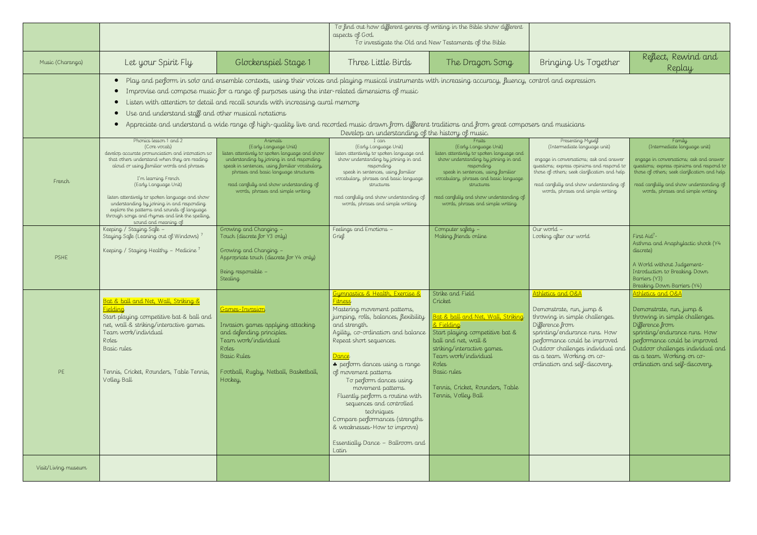|                     |                                                                                                                                                                                                                                                                                                                                                                                                                                                                                                                                                                                                                                                   |                                                                                                                                                                                                                                                                                                              |                                                                                                                                                                                                                                                                                                                                                                                                                                                                                                                                   | To find out how different genres of writing in the Bible show different                                                                                                                                                                                                                                           |                                                                                                                                                                                                                                                                             |                                                                                                                                                                                                                                                                          |  |  |  |  |
|---------------------|---------------------------------------------------------------------------------------------------------------------------------------------------------------------------------------------------------------------------------------------------------------------------------------------------------------------------------------------------------------------------------------------------------------------------------------------------------------------------------------------------------------------------------------------------------------------------------------------------------------------------------------------------|--------------------------------------------------------------------------------------------------------------------------------------------------------------------------------------------------------------------------------------------------------------------------------------------------------------|-----------------------------------------------------------------------------------------------------------------------------------------------------------------------------------------------------------------------------------------------------------------------------------------------------------------------------------------------------------------------------------------------------------------------------------------------------------------------------------------------------------------------------------|-------------------------------------------------------------------------------------------------------------------------------------------------------------------------------------------------------------------------------------------------------------------------------------------------------------------|-----------------------------------------------------------------------------------------------------------------------------------------------------------------------------------------------------------------------------------------------------------------------------|--------------------------------------------------------------------------------------------------------------------------------------------------------------------------------------------------------------------------------------------------------------------------|--|--|--|--|
|                     |                                                                                                                                                                                                                                                                                                                                                                                                                                                                                                                                                                                                                                                   |                                                                                                                                                                                                                                                                                                              | aspects of God.                                                                                                                                                                                                                                                                                                                                                                                                                                                                                                                   | To investigate the Old and New Testaments of the Bible                                                                                                                                                                                                                                                            |                                                                                                                                                                                                                                                                             |                                                                                                                                                                                                                                                                          |  |  |  |  |
| Music (Charanga)    | Let your Spirit Fly                                                                                                                                                                                                                                                                                                                                                                                                                                                                                                                                                                                                                               | Glockenspiel Stage 1                                                                                                                                                                                                                                                                                         | Three Little Birds                                                                                                                                                                                                                                                                                                                                                                                                                                                                                                                | The Dragon Song                                                                                                                                                                                                                                                                                                   | Bringing Us Together                                                                                                                                                                                                                                                        | Reflect, Rewind and<br>Replay                                                                                                                                                                                                                                            |  |  |  |  |
|                     | Play and perform in solo and ensemble contexts, using their voices and playing musical instruments with increasing accuracy, fluency, control and expression<br>Improvise and compose music for a range of purposes using the inter-related dimensions of music<br>Listen with attention to detail and recall sounds with increasing aural memory<br>Use and understand staff and other musical notations<br>$\bullet$<br>Appreciate and understand a wide range of high-quality live and recorded music drawn from different traditions and from great composers and musicians<br>$\bullet$<br>Develop an understanding of the history of music. |                                                                                                                                                                                                                                                                                                              |                                                                                                                                                                                                                                                                                                                                                                                                                                                                                                                                   |                                                                                                                                                                                                                                                                                                                   |                                                                                                                                                                                                                                                                             |                                                                                                                                                                                                                                                                          |  |  |  |  |
| French              | Phonics lesson 1 and 2<br>(Core vocab)<br>develop accurate pronunciation and intonation so<br>that others understand when they are reading<br>aloud or using familiar words and phrases<br>I'm learning French<br>(Early Language Unit)<br>listen attentively to spoken language and show<br>understanding by joining in and responding<br>explore the patterns and sounds of language<br>through songs and rhymes and link the spelling,<br>sound and meaning of                                                                                                                                                                                 | Animals<br>(Early Language Unit)<br>listen attentively to spoken language and show<br>understanding by joining in and responding<br>speak in sentences, using familiar vocabulary,<br>phrases and basic language structures<br>read carefully and show understanding of<br>words, phrases and simple writing | (Early Language Unit)<br>listen attentively to spoken language and<br>show understanding by joining in and<br>responding<br>speak in sentences, using familiar<br>vocabulary, phrases and basic language<br>structures<br>read carefully and show understanding of<br>words, phrases and simple writing                                                                                                                                                                                                                           | Fruits<br>(Early Language Unit)<br>listen attentively to spoken language and<br>show understanding by joining in and<br>responding<br>speak in sentences, using familiar<br>vocabulary, phrases and basic language<br>structures<br>read carefully and show understanding of<br>words, phrases and simple writing | Presenting Myself<br>(Intermediate language unit)<br>engage in conversations; ask and answer<br>questions; express opinions and respond to<br>those of others; seek clarification and help<br>read carefully and show understanding of<br>words, phrases and simple writing | Family<br>(Intermediate language unit)<br>engage in conversations; ask and answer<br>questions; express opinions and respond to<br>those of others, seek clarification and help<br>read carefully and show understanding of<br>words, phrases and simple writing         |  |  |  |  |
| PSHE                | Keeping / Staying Safe -<br>Staying Safe (Leaning out of Windows) <sup>7</sup><br>Keeping / Staying Healthy - Medicine 7                                                                                                                                                                                                                                                                                                                                                                                                                                                                                                                          | Growing and Changing -<br>Touch (discrete for Y3 only)<br>Growing and Changing -<br>Appropriate touch (discrete for Y4 only)<br>Being responsible -<br>Stealing                                                                                                                                              | Feelings and Emotions -<br>Grief                                                                                                                                                                                                                                                                                                                                                                                                                                                                                                  | Computer safety -<br>Making friends online                                                                                                                                                                                                                                                                        | Our world -<br>Looking after our world                                                                                                                                                                                                                                      | First Aid <sup>7</sup> -<br>Asthma and Anaphylactic shock (Y4<br>discrete)<br>A World without Judgement-<br>Introduction to Breaking Down<br>Barriers (Y3)<br>Breaking Down Barriers (Y4)                                                                                |  |  |  |  |
| PE                  | Bat & ball and Net, Wall, Striking &<br>Fielding<br>Start playing competitive bat & ball and<br>net, wall & striking/interactive games.<br>Team work/individual<br>Roles<br>Basic rules<br>Tennis, Cricket, Rounders, Table Tennis,<br>Volley Ball                                                                                                                                                                                                                                                                                                                                                                                                | <u> Games-Invasion</u><br>Invasion games applying attacking<br>and defending principles.<br>Team work/individual<br>Roles<br><b>Basic Rules</b><br>Football, Rugby, Netball, Basketball,<br>Hockey,                                                                                                          | Gymnastics & Health, Exercise &<br><mark>Fitness</mark><br>Mastering movement patterns,<br>jumping, rolls, balances, flexibility<br>and strength.<br>Agility, co-ordination and balance<br>Repeat short sequences.<br>Dance<br>perform dances using a range<br>of movement patterns<br>To perform dances using<br>movement patterns.<br>Fluently perform a routine with<br>sequences and controlled<br>techniques<br>Compare performances (strengths<br>& weaknesses-How to improve)<br>Essentially Dance - Ballroom and<br>Latin | Strike and Field<br>Cricket<br><u> Bat &amp; ball and Net, Wall, Striking</u><br>& Fielding<br>Start playing competitive bat &<br>ball and net, wall &<br>striking/interactive games.<br>Team work/individual<br>Roles<br>Basic rules<br>Tennis, Cricket, Rounders, Table<br>Tennis, Volley Ball                  | Athletics and O&A<br>Demonstrate, run, jump &<br>throwing in simple challenges.<br>Difference from<br>sprinting/endurance runs. How<br>performance could be improved<br>Outdoor challenges individual and<br>as a team. Working on co-<br>ordination and self-discovery.    | Athletics and O&A<br>Demonstrate, run, jump &<br>throwing in simple challenges.<br>Difference from<br>sprinting/endurance runs. How<br>performance could be improved<br>Outdoor challenges individual and<br>as a team. Working on co-<br>ordination and self-discovery. |  |  |  |  |
| Visit/Living museum |                                                                                                                                                                                                                                                                                                                                                                                                                                                                                                                                                                                                                                                   |                                                                                                                                                                                                                                                                                                              |                                                                                                                                                                                                                                                                                                                                                                                                                                                                                                                                   |                                                                                                                                                                                                                                                                                                                   |                                                                                                                                                                                                                                                                             |                                                                                                                                                                                                                                                                          |  |  |  |  |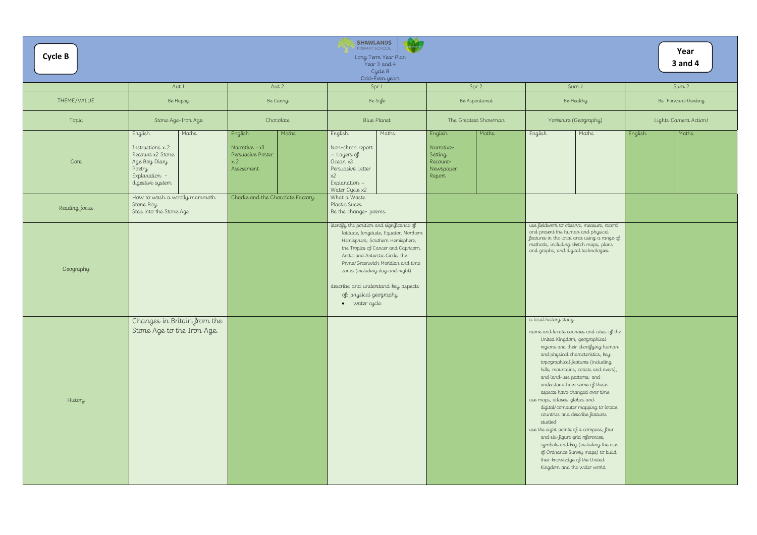| <b>Cycle B</b> |                                                                                                                            |                                                            |                                   |       | <b>SHAWLANDS</b><br>PRIMARY SCHOOL                                                                                                                              | Long Term Year Plan<br>Year 3 and 4<br>Cycle B<br>Odd-Even years                                                                                                                           |                                                                     |                      |                                                                                                                     |                                                                                                                                                                                                                                                                                                                                                                                                                                                                                                                                                                                                          |         | Year<br><b>3 and 4</b> |
|----------------|----------------------------------------------------------------------------------------------------------------------------|------------------------------------------------------------|-----------------------------------|-------|-----------------------------------------------------------------------------------------------------------------------------------------------------------------|--------------------------------------------------------------------------------------------------------------------------------------------------------------------------------------------|---------------------------------------------------------------------|----------------------|---------------------------------------------------------------------------------------------------------------------|----------------------------------------------------------------------------------------------------------------------------------------------------------------------------------------------------------------------------------------------------------------------------------------------------------------------------------------------------------------------------------------------------------------------------------------------------------------------------------------------------------------------------------------------------------------------------------------------------------|---------|------------------------|
|                | Aut 1                                                                                                                      |                                                            | Aut 2                             |       |                                                                                                                                                                 | Spr 1                                                                                                                                                                                      |                                                                     | Spr 2                |                                                                                                                     | Sum <sub>1</sub>                                                                                                                                                                                                                                                                                                                                                                                                                                                                                                                                                                                         |         | Sum 2                  |
| THEME/VALUE    | Be Happy                                                                                                                   |                                                            | Be Caring                         |       |                                                                                                                                                                 | Be Safe                                                                                                                                                                                    |                                                                     | Be Aspirational      |                                                                                                                     | Be Healthy                                                                                                                                                                                                                                                                                                                                                                                                                                                                                                                                                                                               |         | Be Forward-thinking    |
| Topic          | Stone Age-Iron Age                                                                                                         |                                                            | Chocolate                         |       |                                                                                                                                                                 | <b>Blue Planet</b>                                                                                                                                                                         |                                                                     | The Greatest Showman |                                                                                                                     | Yorkshire (Geography)                                                                                                                                                                                                                                                                                                                                                                                                                                                                                                                                                                                    |         | Lights Camera Action!  |
| Core           | English<br>Maths<br>Instructions $x$ 2<br>Recount x2 Stone<br>Age Boy Diary<br>Poetry<br>Explanation -<br>digestive system | English<br>Narrative $-x3$<br>x <sub>2</sub><br>Assessment | Persuasive Poster                 | Maths | English<br>Non-chron report<br>- Layers of<br>Ocean x3<br>Persuasive Letter<br>$x^2$<br>Explanation -<br>Water Cycle x2                                         | Maths                                                                                                                                                                                      | English<br>Narrative-<br>Setting<br>Recount-<br>Newspaper<br>Report | Maths                | English                                                                                                             | Maths                                                                                                                                                                                                                                                                                                                                                                                                                                                                                                                                                                                                    | English | Maths                  |
| Reading focus  | How to wash a woolly mammoth<br>Stone Boy<br>Step into the Stone Age                                                       |                                                            | Charlie and the Chocolate Factory |       | What a Waste<br>Plastic Sucks<br>Be the change-poems                                                                                                            |                                                                                                                                                                                            |                                                                     |                      |                                                                                                                     |                                                                                                                                                                                                                                                                                                                                                                                                                                                                                                                                                                                                          |         |                        |
| Geography      |                                                                                                                            |                                                            |                                   |       | identify the position and significance of<br>Arctic and Antarctic Circle, the<br>describe and understand key aspects<br>of: physical geography<br>· water cycle | latitude, longitude, Equator, Northern<br>Hemisphere, Southern Hemisphere,<br>the Tropics of Cancer and Capricorn,<br>Prime/Greenwich Meridian and time<br>zones (including day and night) |                                                                     |                      | and present the human and physical<br>methods, including sketch maps, plans<br>and graphs, and digital technologies | use fieldwork to observe, measure, record<br>features in the local area using a range of                                                                                                                                                                                                                                                                                                                                                                                                                                                                                                                 |         |                        |
| History        | Changes in Britain from the<br>Stone Age to the Iron Age.                                                                  |                                                            |                                   |       |                                                                                                                                                                 |                                                                                                                                                                                            |                                                                     |                      | a local history study<br>and land-use patterns; and<br>use maps, atlases, globes and<br>studied                     | name and locate counties and cities of the<br>United Kingdom, geographical<br>regions and their identifying human<br>and physical characteristics, key<br>topographical features (including<br>hills, mountains, coasts and rivers),<br>understand how some of these<br>aspects have changed over time<br>digital/computer mapping to locate<br>countries and describe features<br>use the eight points of a compass, four<br>and six-figure grid references,<br>symbols and key (including the use<br>of Ordnance Survey maps) to build<br>their knowledge of the United<br>Kingdom and the wider world |         |                        |

|                |                                                                                                                                                                                                                                                                                                                                                                                                                                                                                                                                                                                                                                                                                                             | Year<br><b>3 and 4</b> |
|----------------|-------------------------------------------------------------------------------------------------------------------------------------------------------------------------------------------------------------------------------------------------------------------------------------------------------------------------------------------------------------------------------------------------------------------------------------------------------------------------------------------------------------------------------------------------------------------------------------------------------------------------------------------------------------------------------------------------------------|------------------------|
| $\overline{2}$ | Sum 1                                                                                                                                                                                                                                                                                                                                                                                                                                                                                                                                                                                                                                                                                                       | Sum 2                  |
| itional        | Be Healthy                                                                                                                                                                                                                                                                                                                                                                                                                                                                                                                                                                                                                                                                                                  | Be Forward-thinking    |
| Showman        | Yorkshire (Geography)                                                                                                                                                                                                                                                                                                                                                                                                                                                                                                                                                                                                                                                                                       | Lights Camera Action!  |
| Maths          | English<br>Maths                                                                                                                                                                                                                                                                                                                                                                                                                                                                                                                                                                                                                                                                                            | English<br>Maths       |
|                | use fieldwork to observe, measure, record<br>and present the human and physical<br>features in the local area using a range of<br>methods, including sketch maps, plans<br>and graphs, and digital technologies                                                                                                                                                                                                                                                                                                                                                                                                                                                                                             |                        |
|                | a local history study<br>name and locate counties and cities of the<br>United Kingdom, geographical<br>regions and their identifying human<br>and physical characteristics, key<br>topographical features (including<br>hills, mountains, coasts and rivers),<br>and land-use patterns; and<br>understand how some of these<br>aspects have changed over time<br>use maps, atlases, globes and<br>digital/computer mapping to locate<br>countries and describe features<br>studied<br>use the eight points of a compass, four<br>and six-figure grid references,<br>symbols and key (including the use<br>of Ordnance Survey maps) to build<br>their knowledge of the United<br>Kingdom and the wider world |                        |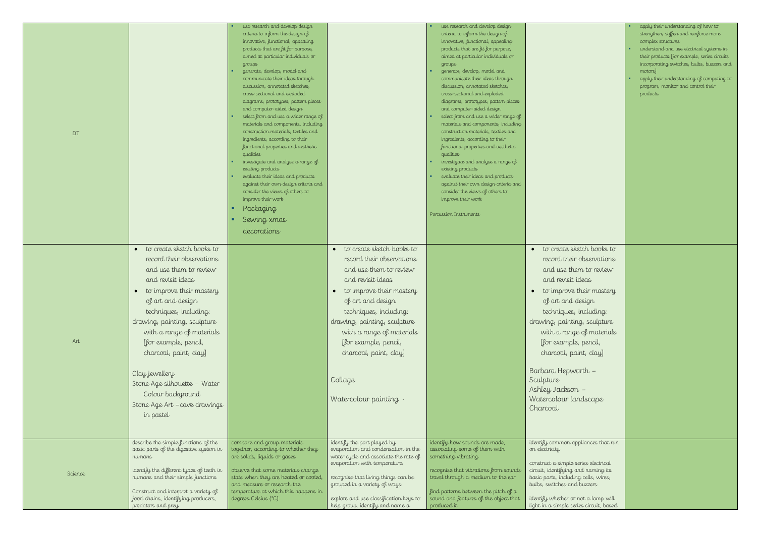| DT      | to create sketch books to<br>$\bullet$                                                                                                                                                                                                                                                                                                                                                   | use research and develop design<br>criteria to inform the design of<br>innovative, functional, appealing<br>products that are fit for purpose,<br>aimed at particular individuals or<br>groups<br>generate, develop, model and<br>communicate their ideas through<br>discussion, annotated sketches,<br>cross-sectional and exploded<br>diagrams, prototypes, pattern pieces<br>and computer-aided design<br>select from and use a wider range of<br>materials and components, including<br>construction materials, textiles and<br>ingredients, according to their<br>functional properties and aesthetic<br>qualities<br>investigate and analyse a range of<br>existing products<br>evaluate their ideas and products<br>against their own design criteria and<br>consider the views of others to<br>improve their work<br>Packaging<br>Sewing xmas<br>decorations | to create sketch books to<br>$\bullet$                                                                                                                                                                                                                                                                                | use research and develop design<br>criteria to inform the design of<br>innovative, functional, appealing<br>products that are fit for purpose,<br>aimed at particular individuals or<br>groups<br>generate, develop, model and<br>communicate their ideas through<br>discussion, annotated sketches,<br>cross-sectional and exploded<br>diagrams, prototypes, pattern pieces<br>and computer-aided design<br>select from and use a wider range of<br>materials and components, including<br>construction materials, textiles and<br>ingredients, according to their<br>functional properties and aesthetic<br>qualities<br>investigate and analyse a range of<br>existing products<br>evaluate their ideas and products<br>against their own design criteria and<br>consider the views of others to<br>improve their work<br>Percussion Instruments | to create sketch books to<br>$\bullet$                                                                                                                                                                                                                                                                                                                                      |
|---------|------------------------------------------------------------------------------------------------------------------------------------------------------------------------------------------------------------------------------------------------------------------------------------------------------------------------------------------------------------------------------------------|----------------------------------------------------------------------------------------------------------------------------------------------------------------------------------------------------------------------------------------------------------------------------------------------------------------------------------------------------------------------------------------------------------------------------------------------------------------------------------------------------------------------------------------------------------------------------------------------------------------------------------------------------------------------------------------------------------------------------------------------------------------------------------------------------------------------------------------------------------------------|-----------------------------------------------------------------------------------------------------------------------------------------------------------------------------------------------------------------------------------------------------------------------------------------------------------------------|-----------------------------------------------------------------------------------------------------------------------------------------------------------------------------------------------------------------------------------------------------------------------------------------------------------------------------------------------------------------------------------------------------------------------------------------------------------------------------------------------------------------------------------------------------------------------------------------------------------------------------------------------------------------------------------------------------------------------------------------------------------------------------------------------------------------------------------------------------|-----------------------------------------------------------------------------------------------------------------------------------------------------------------------------------------------------------------------------------------------------------------------------------------------------------------------------------------------------------------------------|
| Art     | record their observations<br>and use them to review<br>and revisit ideas<br>to improve their mastery<br>of art and design<br>techniques, including:<br>drawing, painting, sculpture<br>with a range of materials<br>[for example, pencil,<br>charcoal, paint, clay]<br>Clay jewellery<br>Stone Age silhouette - Water<br>Colour background<br>Stone Age Art - cave drawings<br>in pastel |                                                                                                                                                                                                                                                                                                                                                                                                                                                                                                                                                                                                                                                                                                                                                                                                                                                                      | record their observations<br>and use them to review<br>and revisit ideas<br>to improve their mastery<br>$\bullet$<br>of art and design<br>techniques, including:<br>drawing, painting, sculpture<br>with a range of materials<br>[for example, pencil,<br>charcoal, paint, clay]<br>Collage<br>Watercolour painting - |                                                                                                                                                                                                                                                                                                                                                                                                                                                                                                                                                                                                                                                                                                                                                                                                                                                     | record their observations<br>and use them to review<br>and revisit ideas<br>to improve their mastery<br>$\bullet$<br>of art and design<br>techniques, including:<br>drawing, painting, sculpture<br>with a range of material<br>[for example, pencil,<br>charcoal, paint, clay]<br>Barbara Hepworth -<br>Sculpture<br>Ashley Jackson -<br>Watercolour landscape<br>Charcoal |
| Science | describe the simple functions of the<br>basic parts of the digestive system in<br>humans<br>identify the different types of teeth in<br>humans and their simple functions<br>Construct and interpret a variety of<br>food chains, identifying producers,<br>predators and prey.                                                                                                          | compare and group materials<br>together, according to whether they<br>are solids, liquids or gases<br>observe that some materials change<br>state when they are heated or cooled,<br>and measure or research the<br>temperature at which this happens in<br>degrees Celsius (°C)                                                                                                                                                                                                                                                                                                                                                                                                                                                                                                                                                                                     | identify the part played by<br>evaporation and condensation in the<br>water cycle and associate the rate of<br>evaporation with temperature.<br>recognise that living things can be<br>grouped in a variety of ways<br>explore and use classification keys to<br>help group, identify and name a                      | identify how sounds are made,<br>associating some of them with<br>something vibrating<br>recognise that vibrations from sounds<br>travel through a medium to the ear<br>find patterns between the pitch of a<br>sound and features of the object that<br>produced it                                                                                                                                                                                                                                                                                                                                                                                                                                                                                                                                                                                | identify common appliances that n<br>on electricity<br>construct a simple series electrical<br>circuit, identifying and naming its<br>basic parts, including cells, wires,<br>bulbs, switches and buzzers<br>identify whether or not a lamp will<br>light in a simple series circuit, base                                                                                  |

| to create sketch books to                                                                                                                          | strengthen, stiffen and reinforce more<br>complex structures<br>understand and use electrical systems in<br>their products [for example, series circuits<br>incorporating switches, bulbs, buzzers and<br>motors]<br>apply their understanding of computing to<br>program, monitor and control their<br>products. |
|----------------------------------------------------------------------------------------------------------------------------------------------------|-------------------------------------------------------------------------------------------------------------------------------------------------------------------------------------------------------------------------------------------------------------------------------------------------------------------|
| record their observations<br>and use them to review                                                                                                |                                                                                                                                                                                                                                                                                                                   |
| and revisit ideas                                                                                                                                  |                                                                                                                                                                                                                                                                                                                   |
| to improve their mastery                                                                                                                           |                                                                                                                                                                                                                                                                                                                   |
| of art and design                                                                                                                                  |                                                                                                                                                                                                                                                                                                                   |
| techniques, including:<br>drawing, painting, sculpture                                                                                             |                                                                                                                                                                                                                                                                                                                   |
| with a range of materials                                                                                                                          |                                                                                                                                                                                                                                                                                                                   |
| [for example, pencil,                                                                                                                              |                                                                                                                                                                                                                                                                                                                   |
| charcoal, paint, clay]                                                                                                                             |                                                                                                                                                                                                                                                                                                                   |
| Barbara Hepworth –<br>Sculpture                                                                                                                    |                                                                                                                                                                                                                                                                                                                   |
| Ashley Jackson –                                                                                                                                   |                                                                                                                                                                                                                                                                                                                   |
| Watercolour landscape<br>Charcoal                                                                                                                  |                                                                                                                                                                                                                                                                                                                   |
| identify common appliances that run                                                                                                                |                                                                                                                                                                                                                                                                                                                   |
| on electricity                                                                                                                                     |                                                                                                                                                                                                                                                                                                                   |
| construct a simple series electrical<br>circuit, identifying and naming its<br>basic parts, including cells, wires,<br>bulbs, switches and buzzers |                                                                                                                                                                                                                                                                                                                   |
| identify whether or not a lamp will                                                                                                                |                                                                                                                                                                                                                                                                                                                   |
| light in a simple series circuit, based                                                                                                            |                                                                                                                                                                                                                                                                                                                   |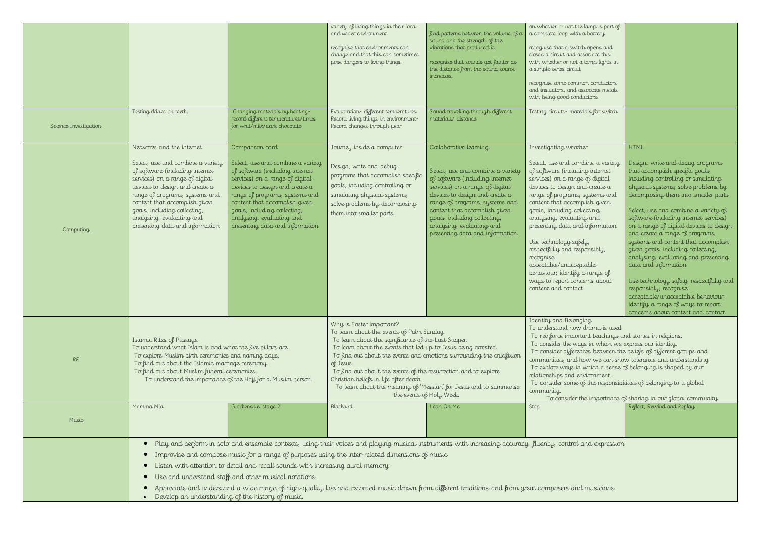| on whether or not the lamp is part of<br>a complete loop with a battery                                                                                                                                                                                                                                                                                                                                                                                                                                          |                                                                                                                                                                                                                                                                                                                                                                                                                                                                                                                                                                                                                                                                                              |
|------------------------------------------------------------------------------------------------------------------------------------------------------------------------------------------------------------------------------------------------------------------------------------------------------------------------------------------------------------------------------------------------------------------------------------------------------------------------------------------------------------------|----------------------------------------------------------------------------------------------------------------------------------------------------------------------------------------------------------------------------------------------------------------------------------------------------------------------------------------------------------------------------------------------------------------------------------------------------------------------------------------------------------------------------------------------------------------------------------------------------------------------------------------------------------------------------------------------|
| recognise that a switch opens and<br>closes a circuit and associate this<br>with whether or not a lamp lights in<br>a simple series circuit                                                                                                                                                                                                                                                                                                                                                                      |                                                                                                                                                                                                                                                                                                                                                                                                                                                                                                                                                                                                                                                                                              |
| recognise some common conductors<br>and insulators, and associate metals<br>with being good conductors.                                                                                                                                                                                                                                                                                                                                                                                                          |                                                                                                                                                                                                                                                                                                                                                                                                                                                                                                                                                                                                                                                                                              |
| Testing circuits- materials for switch                                                                                                                                                                                                                                                                                                                                                                                                                                                                           |                                                                                                                                                                                                                                                                                                                                                                                                                                                                                                                                                                                                                                                                                              |
| Investigating weather                                                                                                                                                                                                                                                                                                                                                                                                                                                                                            | <b>HTML</b>                                                                                                                                                                                                                                                                                                                                                                                                                                                                                                                                                                                                                                                                                  |
| Select, use and combine a variety<br>of software (including internet<br>services) on a range of digital<br>devices to design and create a<br>range of programs, systems and<br>content that accomplish given<br>goals, including collecting,<br>analysing, evaluating and<br>presenting data and information<br>Use technology safely,<br>respectfully and responsibly;<br>recognise<br>acceptable/unacceptable<br>behaviour; identify a range of<br>ways to report concerns about<br>content and contact        | Design, write and debug programs<br>that accomplish specific goals,<br>including controlling or simulating<br>physical systems; solve problems by<br>decomposing them into smaller parts<br>Select, use and combine a variety of<br>software (including internet services)<br>on a range of digital devices to design<br>and create a range of programs,<br>systems and content that accomplish<br>given goals, including collecting,<br>analysing, evaluating and presenting<br>data and information<br>Use technology safely, respectfully and<br>responsibly; recognise<br>acceptable/unacceptable behaviour;<br>identify a range of ways to report<br>concerns about content and contact |
| Identity and Belonging<br>To understand how drama is used<br>To reinforce important teachings and stories in religions.<br>To consider the ways in which we express our identity.<br>To consider differences between the beliefs of different groups and<br>communities, and how we can show tolerance and understanding.<br>To explore ways in which a sense of belonging is shaped by our<br>relationships and environment.<br>To consider some of the responsibilities of belonging to a global<br>community. | To consider the importance of sharing in our global community.                                                                                                                                                                                                                                                                                                                                                                                                                                                                                                                                                                                                                               |
| Stop                                                                                                                                                                                                                                                                                                                                                                                                                                                                                                             | Reflect, Rewind and Replay                                                                                                                                                                                                                                                                                                                                                                                                                                                                                                                                                                                                                                                                   |
| Pugneu control and expression                                                                                                                                                                                                                                                                                                                                                                                                                                                                                    |                                                                                                                                                                                                                                                                                                                                                                                                                                                                                                                                                                                                                                                                                              |

|                       |                                                                                                                                                                                                                                                                                                                                           |                                                                                                                                                                                                                                                                                                                                                                                                                                                                                                                                                                                                                         | variety of living things in their local<br>and wider environment<br>recognise that environments can<br>change and that this can sometimes<br>pose dangers to living things.                                              | find patterns between the volume of a<br>sound and the strength of the<br>vibrations that produced it<br>recognise that sounds get fainter as<br>the distance from the sound source<br>increases.                                                                                                                                                                                                                                                                                                   | on whether or not the lamp is part of<br>a complete loop with a battery<br>recognise that a switch opens and<br>closes a circuit and associate this<br>with whether or not a lamp lights in<br>a simple series circuit<br>recognise some common conductors<br>and insulators, and associate metals<br>with being good conductors.                                                                                                                                                                                                  |                                                                                                                                                                                                                                                                                                                                                                                                                                                                                                                                                           |  |
|-----------------------|-------------------------------------------------------------------------------------------------------------------------------------------------------------------------------------------------------------------------------------------------------------------------------------------------------------------------------------------|-------------------------------------------------------------------------------------------------------------------------------------------------------------------------------------------------------------------------------------------------------------------------------------------------------------------------------------------------------------------------------------------------------------------------------------------------------------------------------------------------------------------------------------------------------------------------------------------------------------------------|--------------------------------------------------------------------------------------------------------------------------------------------------------------------------------------------------------------------------|-----------------------------------------------------------------------------------------------------------------------------------------------------------------------------------------------------------------------------------------------------------------------------------------------------------------------------------------------------------------------------------------------------------------------------------------------------------------------------------------------------|------------------------------------------------------------------------------------------------------------------------------------------------------------------------------------------------------------------------------------------------------------------------------------------------------------------------------------------------------------------------------------------------------------------------------------------------------------------------------------------------------------------------------------|-----------------------------------------------------------------------------------------------------------------------------------------------------------------------------------------------------------------------------------------------------------------------------------------------------------------------------------------------------------------------------------------------------------------------------------------------------------------------------------------------------------------------------------------------------------|--|
| Science Investigation | Testing drinks on teeth.                                                                                                                                                                                                                                                                                                                  | .Changing materials by heating-<br>record different temperatures/times<br>for whit/milk/dark chocolate                                                                                                                                                                                                                                                                                                                                                                                                                                                                                                                  | Evaporation-different temperatures<br>Record living things in environment-<br>Record changes through year                                                                                                                | Sound travelling through different<br>materials/distance                                                                                                                                                                                                                                                                                                                                                                                                                                            | Testing circuits- materials for switch                                                                                                                                                                                                                                                                                                                                                                                                                                                                                             |                                                                                                                                                                                                                                                                                                                                                                                                                                                                                                                                                           |  |
| Computing             | Networks and the internet<br>Select, use and combine a variety<br>of software (including internet<br>services) on a range of digital<br>devices to design and create a<br>range of programs, systems and<br>content that accomplish given<br>goals, including collecting,<br>analysing, evaluating and<br>presenting data and information | Comparison card<br>Select, use and combine a variety<br>of software (including internet<br>services) on a range of digital<br>devices to design and create a<br>range of programs, systems and<br>content that accomplish given<br>goals, including collecting,<br>analysing, evaluating and<br>presenting data and information                                                                                                                                                                                                                                                                                         | Journey inside a computer<br>Design, write and debug<br>programs that accomplish specific<br>goals, including controlling or<br>simulating physical systems;<br>solve problems by decomposing<br>them into smaller parts | Collaborative learning<br>Select, use and combine a variety<br>of software (including internet<br>services) on a range of digital<br>devices to design and create a<br>range of programs, systems and<br>content that accomplish given<br>goals, including collecting,<br>analysing, evaluating and<br>presenting data and information                                                                                                                                                              | Investigating weather<br>Select, use and combine a variety<br>of software (including internet<br>services) on a range of digital<br>devices to design and create a<br>range of programs, systems and<br>content that accomplish given<br>goals, including collecting,<br>analysing, evaluating and<br>presenting data and information<br>Use technology safely,<br>respectfully and responsibly;<br>recognise<br>acceptable/unacceptable<br>behaviour; identify a range of<br>ways to report concerns about<br>content and contact | <b>HTML</b><br>Design, write and debug<br>that accomplish specific<br>including controlling or<br>physical systems; solve<br>decomposing them into<br>Select, use and combine<br>software (including inter<br>on a range of digital des<br>and create a range of pr<br>systems and content tho<br>given goals, including a<br>analysing, evaluating ar<br>data and information<br>Use technology safely, n<br>responsibly; recognise<br>acceptable/unacceptable<br>identify a range of ways<br>concerns about content                                     |  |
| <b>RE</b>             | Islamic Rites of Passage                                                                                                                                                                                                                                                                                                                  | To understand what Islam is and what the five pillars are.<br>To explore Muslim birth ceremonies and naming days.<br>To find out about the Islamic marriage ceremony.<br>To find out about Muslim funeral ceremonies.<br>To understand the importance of the Hajj for a Muslim person.                                                                                                                                                                                                                                                                                                                                  |                                                                                                                                                                                                                          | Why is Easter important?<br>To learn about the events of Palm Sunday.<br>To learn about the significance of the Last Supper.<br>To learn about the events that led up to Jesus being arrested.<br>To find out about the events and emotions surrounding the crucifixion<br>of Jesus.<br>To find out about the events of the resurrection and to explore<br>Christian beliefs in life after death.<br>To learn about the meaning of 'Messiah' for Jesus and to summarise<br>the events of Holy Week. |                                                                                                                                                                                                                                                                                                                                                                                                                                                                                                                                    | Identity and Belonging<br>To understand how drama is used<br>To reinforce important teachings and stories in religions.<br>To consider the ways in which we express our identity.<br>To consider differences between the beliefs of different groups<br>communities, and how we can show tolerance and understa<br>To explore ways in which a sense of belonging is shaped by<br>relationships and environment.<br>To consider some of the responsibilities of belonging to a glo<br>community.<br>To consider the importance of sharing in our global co |  |
| Music                 | Mamma Mia                                                                                                                                                                                                                                                                                                                                 | Glockenspiel stage 2                                                                                                                                                                                                                                                                                                                                                                                                                                                                                                                                                                                                    | Blackbird                                                                                                                                                                                                                | Lean On Me                                                                                                                                                                                                                                                                                                                                                                                                                                                                                          | Stop                                                                                                                                                                                                                                                                                                                                                                                                                                                                                                                               | Reflect, Rewind and Replay                                                                                                                                                                                                                                                                                                                                                                                                                                                                                                                                |  |
|                       |                                                                                                                                                                                                                                                                                                                                           | Play and perform in solo and ensemble contexts, using their voices and playing musical instruments with increasing accuracy, fluency, control and expression<br>Improvise and compose music for a range of purposes using the inter-related dimensions of music<br>Listen with attention to detail and recall sounds with increasing aural memory<br>Use and understand staff and other musical notations<br>Appreciate and understand a wide range of high-quality live and recorded music drawn from different traditions and from great composers and musicians<br>Develop an understanding of the history of music. |                                                                                                                                                                                                                          |                                                                                                                                                                                                                                                                                                                                                                                                                                                                                                     |                                                                                                                                                                                                                                                                                                                                                                                                                                                                                                                                    |                                                                                                                                                                                                                                                                                                                                                                                                                                                                                                                                                           |  |